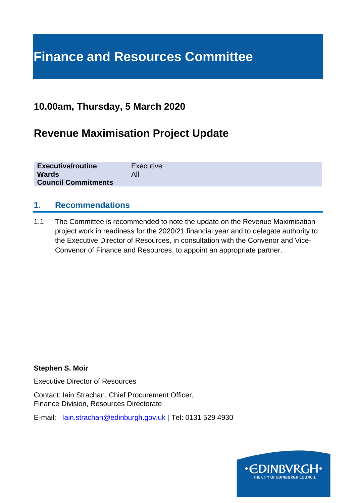# **Finance and Resources Committee**

### **10.00am, Thursday, 5 March 2020**

# **Revenue Maximisation Project Update**

| <b>Executive/routine</b>   | Executive |
|----------------------------|-----------|
| <b>Wards</b>               |           |
| <b>Council Commitments</b> |           |

#### **1. Recommendations**

1.1 The Committee is recommended to note the update on the Revenue Maximisation project work in readiness for the 2020/21 financial year and to delegate authority to the Executive Director of Resources, in consultation with the Convenor and Vice-Convenor of Finance and Resources, to appoint an appropriate partner.

#### **Stephen S. Moir**

Executive Director of Resources

Contact: Iain Strachan, Chief Procurement Officer, Finance Division, Resources Directorate

E-mail: [Iain.strachan@edinburgh.gov.uk](mailto:Iain.strachan@edinburgh.gov.uk) | Tel: 0131 529 4930

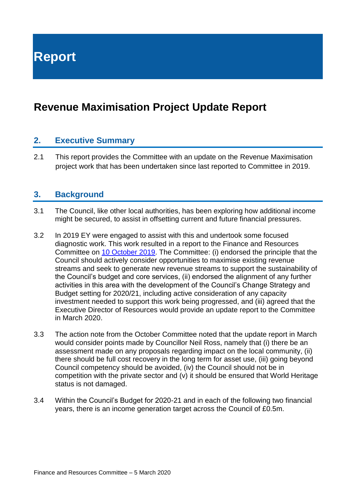**Report**

# **Revenue Maximisation Project Update Report**

#### **2. Executive Summary**

2.1 This report provides the Committee with an update on the Revenue Maximisation project work that has been undertaken since last reported to Committee in 2019.

#### **3. Background**

- 3.1 The Council, like other local authorities, has been exploring how additional income might be secured, to assist in offsetting current and future financial pressures.
- 3.2 In 2019 EY were engaged to assist with this and undertook some focused diagnostic work. This work resulted in a report to the Finance and Resources Committee on [10 October 2019.](https://democracy.edinburgh.gov.uk/documents/s9348/Revenue%20Maximisation%20Project%20Report.pdf) The Committee: (i) endorsed the principle that the Council should actively consider opportunities to maximise existing revenue streams and seek to generate new revenue streams to support the sustainability of the Council's budget and core services, (ii) endorsed the alignment of any further activities in this area with the development of the Council's Change Strategy and Budget setting for 2020/21, including active consideration of any capacity investment needed to support this work being progressed, and (iii) agreed that the Executive Director of Resources would provide an update report to the Committee in March 2020.
- 3.3 The action note from the October Committee noted that the update report in March would consider points made by Councillor Neil Ross, namely that (i) there be an assessment made on any proposals regarding impact on the local community, (ii) there should be full cost recovery in the long term for asset use, (iii) going beyond Council competency should be avoided, (iv) the Council should not be in competition with the private sector and (v) it should be ensured that World Heritage status is not damaged.
- 3.4 Within the Council's Budget for 2020-21 and in each of the following two financial years, there is an income generation target across the Council of £0.5m.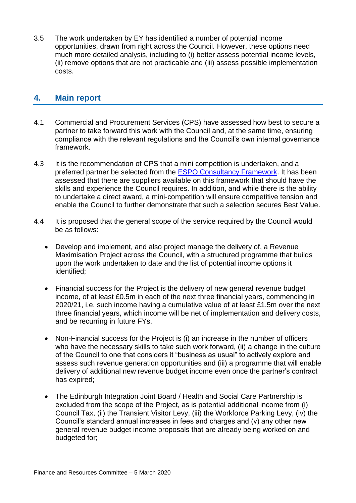3.5 The work undertaken by EY has identified a number of potential income opportunities, drawn from right across the Council. However, these options need much more detailed analysis, including to (i) better assess potential income levels, (ii) remove options that are not practicable and (iii) assess possible implementation costs.

#### **4. Main report**

- 4.1 Commercial and Procurement Services (CPS) have assessed how best to secure a partner to take forward this work with the Council and, at the same time, ensuring compliance with the relevant regulations and the Council's own internal governance framework.
- 4.3 It is the recommendation of CPS that a mini competition is undertaken, and a preferred partner be selected from the [ESPO Consultancy Framework.](https://www.espo.org/Frameworks/People-Professional-Services/664-Consultancy-Services) It has been assessed that there are suppliers available on this framework that should have the skills and experience the Council requires. In addition, and while there is the ability to undertake a direct award, a mini-competition will ensure competitive tension and enable the Council to further demonstrate that such a selection secures Best Value.
- 4.4 It is proposed that the general scope of the service required by the Council would be as follows:
	- Develop and implement, and also project manage the delivery of, a Revenue Maximisation Project across the Council, with a structured programme that builds upon the work undertaken to date and the list of potential income options it identified;
	- Financial success for the Project is the delivery of new general revenue budget income, of at least £0.5m in each of the next three financial years, commencing in 2020/21, i.e. such income having a cumulative value of at least £1.5m over the next three financial years, which income will be net of implementation and delivery costs, and be recurring in future FYs.
	- Non-Financial success for the Project is (i) an increase in the number of officers who have the necessary skills to take such work forward, (ii) a change in the culture of the Council to one that considers it "business as usual" to actively explore and assess such revenue generation opportunities and (iii) a programme that will enable delivery of additional new revenue budget income even once the partner's contract has expired;
	- The Edinburgh Integration Joint Board / Health and Social Care Partnership is excluded from the scope of the Project, as is potential additional income from (i) Council Tax, (ii) the Transient Visitor Levy, (iii) the Workforce Parking Levy, (iv) the Council's standard annual increases in fees and charges and (v) any other new general revenue budget income proposals that are already being worked on and budgeted for;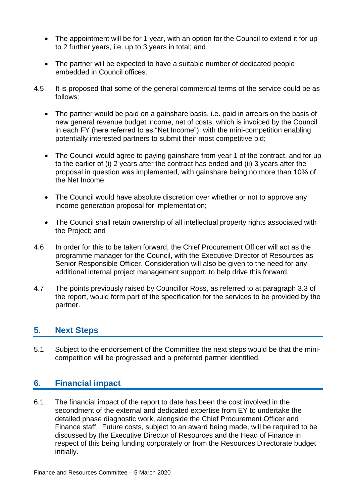- The appointment will be for 1 year, with an option for the Council to extend it for up to 2 further years, i.e. up to 3 years in total; and
- The partner will be expected to have a suitable number of dedicated people embedded in Council offices.
- 4.5 It is proposed that some of the general commercial terms of the service could be as follows:
	- The partner would be paid on a gainshare basis, i.e. paid in arrears on the basis of new general revenue budget income, net of costs, which is invoiced by the Council in each FY (here referred to as "Net Income"), with the mini-competition enabling potentially interested partners to submit their most competitive bid;
	- The Council would agree to paying gainshare from year 1 of the contract, and for up to the earlier of (i) 2 years after the contract has ended and (ii) 3 years after the proposal in question was implemented, with gainshare being no more than 10% of the Net Income;
	- The Council would have absolute discretion over whether or not to approve any income generation proposal for implementation;
	- The Council shall retain ownership of all intellectual property rights associated with the Project; and
- 4.6 In order for this to be taken forward, the Chief Procurement Officer will act as the programme manager for the Council, with the Executive Director of Resources as Senior Responsible Officer. Consideration will also be given to the need for any additional internal project management support, to help drive this forward.
- 4.7 The points previously raised by Councillor Ross, as referred to at paragraph 3.3 of the report, would form part of the specification for the services to be provided by the partner.

#### **5. Next Steps**

5.1 Subject to the endorsement of the Committee the next steps would be that the minicompetition will be progressed and a preferred partner identified.

#### **6. Financial impact**

6.1 The financial impact of the report to date has been the cost involved in the secondment of the external and dedicated expertise from EY to undertake the detailed phase diagnostic work, alongside the Chief Procurement Officer and Finance staff. Future costs, subject to an award being made, will be required to be discussed by the Executive Director of Resources and the Head of Finance in respect of this being funding corporately or from the Resources Directorate budget initially.